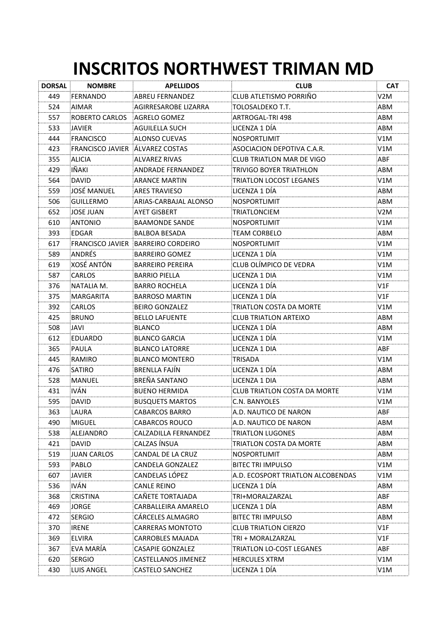## **INSCRITOS NORTHWEST TRIMAN MD**

| <b>DORSAL</b> | <b>NOMBRE</b>                   | <b>APELLIDOS</b>                   | <b>CLUB</b>                       | <b>CAT</b> |
|---------------|---------------------------------|------------------------------------|-----------------------------------|------------|
| 449           | FERNANDO                        | <b>ABREU FERNANDEZ</b>             | CLUB ATLETISMO PORRIÑO            | V2M.       |
| 524           | AIMAR                           | AGIRRESAROBE LIZARRA               | TOLOSALDEKO T.T.                  | ABM        |
| 557           | <b>ROBERTO CARLOS</b>           | AGRELO GOMEZ                       | ARTROGAL-TRI 498                  | ABM        |
| 533           | <b>JAVIER</b>                   | AGUILELLA SUCH                     | LICENZA 1 DÍA                     | ABM        |
| 444           | <b>FRANCISCO</b>                | ALONSO CUEVAS                      | <b>NOSPORTLIMIT</b>               | V1M        |
| 423           | FRANCISCO JAVIER ALVAREZ COSTAS |                                    | ASOCIACION DEPOTIVA C.A.R.        | V1M        |
| 355           | <b>ALICIA</b>                   | <b>ALVAREZ RIVAS</b>               | <b>CLUB TRIATLON MAR DE VIGO</b>  | ABF        |
| 429           | IÑAKI                           | ANDRADE FERNANDEZ                  | TRIVIGO BOYER TRIATHLON           | ABM        |
| 564           | <b>DAVID</b>                    | <b>ARANCE MARTIN</b>               | <b>TRIATLON LOCOST LEGANES</b>    | V1M        |
| 559           | JOSÉ MANUEL                     | <b>ARES TRAVIESO</b>               | LICENZA 1 DÍA                     | ABM        |
| 506           | <b>GUILLERMO</b>                | ARIAS-CARBAJAL ALONSO              | NOSPORTLIMIT                      | ABM        |
| 652           | JOSE JUAN                       | <b>AYET GISBERT</b>                | TRIATLONCIEM                      | V2M        |
| 610           | <b>ANTONIO</b>                  | BAAMONDE SANDE                     | NOSPORTLIMIT                      | V1M        |
| 393           | EDGAR                           | BALBOA BESADA                      | TEAM CORBELO                      | ABM        |
| 617           |                                 | FRANCISCO JAVIER BARREIRO CORDEIRO | <b>NOSPORTLIMIT</b>               | V1M        |
| 589           | ANDRÉS                          | <b>BARREIRO GOMEZ</b>              | LICENZA 1 DÍA                     | V1M        |
| 619           | XOSÉ ANTÓN                      | <b>BARREIRO PEREIRA</b>            | CLUB OLÍMPICO DE VEDRA            | V1M        |
| 587           | <b>CARLOS</b>                   | <b>BARRIO PIELLA</b>               | LICENZA 1 DIA                     | V1M        |
| 376           | NATALIA M.                      | <b>BARRO ROCHELA</b>               | LICENZA 1 DÍA                     | V1F        |
| 375           | MARGARITA                       | <b>BARROSO MARTIN</b>              | LICENZA 1 DIA                     | V1F        |
| 392           | <b>CARLOS</b>                   | <b>BEIRO GONZALEZ</b>              | TRIATLON COSTA DA MORTE           | V1M        |
| 425           | <b>BRUNO</b>                    | <b>BELLO LAFUENTE</b>              | <b>CLUB TRIATLON ARTEIXO</b>      | ABM        |
| 508           | JAVI                            | <b>BLANCO</b>                      | LICENZA 1 DÍA                     | ABM        |
| 612           | EDUARDO                         | <b>BLANCO GARCIA</b>               | LICENZA 1 DÍA                     | V1M        |
| 365           | <b>PAULA</b>                    | <b>BLANCO LATORRE</b>              | LICENZA 1 DIA                     | ABF        |
| 445           | RAMIRO                          | <b>BLANCO MONTERO</b>              | TRISADA                           | V1M        |
| 476           | SATIRO                          | <b>BRENLLA FAJÍN</b>               | LICENZA 1 DÍA                     | ABM        |
| 528           | <b>MANUEL</b>                   | <b>BREÑA SANTANO</b>               | LICENZA 1 DIA                     | ABM        |
| 431           | <b>IVÁN</b>                     | <b>BUENO HERMIDA</b>               | CLUB TRIATLON COSTA DA MORTE      | V1M        |
| 595           | <b>DAVID</b>                    | <b>BUSQUETS MARTOS</b>             | C.N. BANYOLES                     | V1M        |
| 363           | LAURA                           | CABARCOS BARRO                     | A.D. NAUTICO DE NARON             | ABF        |
| 490           | <b>MIGUEL</b>                   | <b>CABARCOS ROUCO</b>              | A.D. NAUTICO DE NARON             | ABM        |
| 538           | ALEJANDRO                       | CALZADILLA FERNANDEZ               | TRIATLON LUGONES                  | ABM        |
| 421           | <b>DAVID</b>                    | CALZAS ÍNSUA                       | TRIATLON COSTA DA MORTE           | ABM        |
| 519           | <b>JUAN CARLOS</b>              | CANDAL DE LA CRUZ                  | NOSPORTLIMIT                      | ABM        |
| 593           | PABLO                           | CANDELA GONZALEZ                   | <b>BITEC TRI IMPULSO</b>          | V1M        |
| 607           | <b>JAVIER</b>                   | CANDELAS LÓPEZ                     | A.D. ECOSPORT TRIATLON ALCOBENDAS | V1M.       |
| 536           | <b>IVÀN</b>                     | <b>CANLE REINO</b>                 | LICENZA 1 DÍA                     | ABM        |
| 368           | <b>CRISTINA</b>                 | CAÑETE TORTAJADA                   | TRI+MORALZARZAL                   | ABF        |
| 469           | <b>JORGE</b>                    | CARBALLEIRA AMARELO                | LICENZA 1 DÍA                     | ABM        |
| 472           | <b>SERGIO</b>                   | CARCELES ALMAGRO                   | <b>BITEC TRI IMPULSO</b>          | ABM        |
| 370           | <b>IRENE</b>                    | CARRERAS MONTOTO                   | <b>CLUB TRIATLON CIERZO</b>       | V1F        |
| 369           | <b>ELVIRA</b>                   | CARROBLES MAJADA                   | TRI + MORALZARZAL                 | V1F        |
| 367           | EVA MARÍA                       | CASAPIE GONZALEZ                   | TRIATLON LO-COST LEGANES          | ABF        |
| 620           | <b>SERGIO</b>                   | CASTELLANOS JIMENEZ                | <b>HERCULES XTRM</b>              | V1M        |
| 430           | LUIS ANGEL                      | <b>CASTELO SANCHEZ</b>             | LICENZA 1 DÍA                     | V1M        |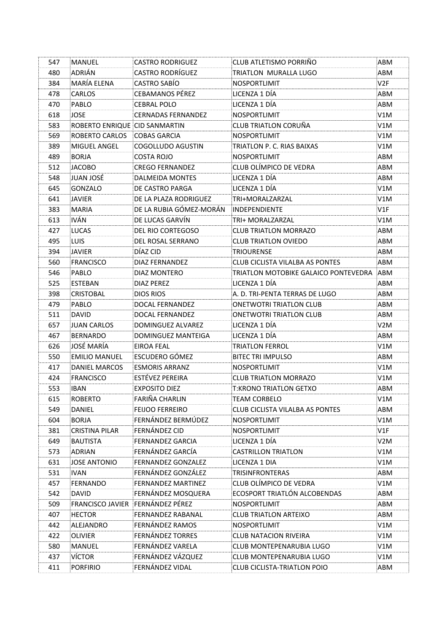| 547 | <b>MANUEL</b>                 | <b>CASTRO RODRIGUEZ</b>   | CLUB ATLETISMO PORRIÑO                   | ABM              |
|-----|-------------------------------|---------------------------|------------------------------------------|------------------|
| 480 | ADRIÁN                        | <b>CASTRO RODRÍGUEZ</b>   | TRIATLON MURALLA LUGO                    | ABM              |
| 384 | MARÍA ELENA                   | <b>CASTRO SABÍO</b>       | NOSPORTLIMIT                             | V2F              |
| 478 | <b>CARLOS</b>                 | <b>CEBAMANOS PÉREZ</b>    | LICENZA 1 DÍA                            | ABM              |
| 470 | PABLO                         | <b>CEBRAL POLO</b>        | LICENZA 1 DÍA                            | ABM              |
| 618 | <b>JOSE</b>                   | <b>CERNADAS FERNANDEZ</b> | NOSPORTLIMIT                             | V1M              |
| 583 | ROBERTO ENRIQUE CID SANMARTIN |                           | CLUB TRIATLON CORUÑA                     | V1M              |
| 569 | ROBERTO CARLOS COBAS GARCIA   |                           | <b>NOSPORTLIMIT</b>                      | V1M              |
| 389 | MIGUEL ANGEL                  | COGOLLUDO AGUSTIN         | TRIATLON P. C. RIAS BAIXAS               | V1M              |
| 489 | <b>BORJA</b>                  | COSTA ROJO                | <b>NOSPORTLIMIT</b>                      | ABM              |
| 512 | JACOBO                        | <b>CREGO FERNANDEZ</b>    | CLUB OLÍMPICO DE VEDRA                   | ABM              |
| 548 | JUAN JOSÉ                     | DALMEIDA MONTES           | LICENZA 1 DÍA                            | ABM              |
| 645 | GONZALO                       | DE CASTRO PARGA           | LICENZA 1 DÍA                            | V1M              |
| 641 | <b>JAVIER</b>                 | DE LA PLAZA RODRIGUEZ     | TRI+MORALZARZAL                          | V1M              |
| 383 | <b>MARIA</b>                  | DE LA RUBIA GÓMEZ-MORÁN   | INDEPENDIENTE                            | V1F              |
| 613 | <b>IVÁN</b>                   | DE LUCAS GARVÍN           | TRI+ MORALZARZAL                         | V1M              |
| 427 | LUCAS                         | DEL RIO CORTEGOSO         | <b>CLUB TRIATLON MORRAZO</b>             | ABM              |
| 495 | <b>LUIS</b>                   | DEL ROSAL SERRANO         | <b>CLUB TRIATLON OVIEDO</b>              | ABM              |
| 394 | <b>JAVIER</b>                 | DÍAZ CID                  | TRIOURENSE                               | ABM              |
| 560 | <b>FRANCISCO</b>              | DIAZ FERNANDEZ            | <b>CLUB CICLISTA VILALBA AS PONTES</b>   | ABM              |
| 546 | PABLO                         | DIAZ MONTERO              | TRIATLON MOTOBIKE GALAICO PONTEVEDRA ABM |                  |
| 525 | <b>ESTEBAN</b>                | DIAZ PEREZ                | LICENZA 1 DÍA                            | ABM              |
| 398 | <b>CRISTOBAL</b>              | <b>DIOS RIOS</b>          | A. D. TRI-PENTA TERRAS DE LUGO           | ABM              |
| 479 | PABLO                         | DOCAL FERNANDEZ           | <b>ONETWOTRI TRIATLON CLUB</b>           | ABM              |
| 511 | <b>DAVID</b>                  | DOCAL FERNANDEZ           | <b>ONETWOTRI TRIATLON CLUB</b>           | ABM              |
| 657 | JUAN CARLOS                   | DOMINGUEZ ALVAREZ         | LICENZA 1 DÍA                            | V <sub>2</sub> M |
| 467 | <b>BERNARDO</b>               | DOMINGUEZ MANTEIGA        | LICENZA 1 DÍA                            | ABM              |
| 626 | <b>JOSÉ MARÍA</b>             | EIROA FEAL                | TRIATLON FERROL                          | V1M              |
| 550 | <b>EMILIO MANUEL</b>          | ESCUDERO GÓMEZ            | <b>BITEC TRI IMPULSO</b>                 | ABM              |
| 417 | <b>DANIEL MARCOS</b>          | <b>ESMORIS ARRANZ</b>     | <b>NOSPORTLIMIT</b>                      | V1M              |
| 424 | <b>FRANCISCO</b>              | ESTÉVEZ PEREIRA           | <b>CLUB TRIATLON MORRAZO</b>             | V1M              |
| 553 | <b>IBAN</b>                   | <b>EXPOSITO DIEZ</b>      | <b>T:KRONO TRIATLON GETXO</b>            | ABM              |
| 615 | <b>ROBERTO</b>                | FARIÑA CHARLIN            | <b>TEAM CORBELO</b>                      | V1M              |
| 549 | DANIEL                        | <b>FEIJOO FERREIRO</b>    | <b>CLUB CICLISTA VILALBA AS PONTES</b>   | ABM              |
| 604 | <b>BORJA</b>                  | FERNÁNDEZ BERMÚDEZ        | NOSPORTLIMIT                             | V1M              |
| 381 | <b>CRISTINA PILAR</b>         | FERNÁNDEZ CID             | <b>NOSPORTLIMIT</b>                      | V1F              |
| 649 | <b>BAUTISTA</b>               | FERNANDEZ GARCIA          | LICENZA 1 DÍA                            | V2M              |
| 573 | ADRIAN                        | FERNÁNDEZ GARCÍA          | <b>CASTRILLON TRIATLON</b>               | V1M              |
| 631 | <b>JOSE ANTONIO</b>           | <b>FERNANDEZ GONZALEZ</b> | LICENZA 1 DIA                            | V1M              |
| 531 | <b>IVAN</b>                   | FERNÁNDEZ GONZÁLEZ        | TRISINFRONTERAS                          | ABM              |
| 457 | <b>FERNANDO</b>               | FERNANDEZ MARTINEZ        | CLUB OLÍMPICO DE VEDRA                   | V1M              |
| 542 | <b>DAVID</b>                  | FERNÁNDEZ MOSQUERA        | ECOSPORT TRIATLÓN ALCOBENDAS             | ABM              |
| 509 | <b>FRANCISCO JAVIER</b>       | FERNÁNDEZ PÉREZ           | NOSPORTLIMIT                             | ABM              |
| 407 | <b>HECTOR</b>                 | <b>FERNANDEZ RABANAL</b>  | <b>CLUB TRIATLON ARTEIXO</b>             | ABM              |
| 442 | ALEJANDRO                     | FERNÁNDEZ RAMOS           | <b>NOSPORTLIMIT</b>                      | V1M              |
| 422 | <b>OLIVIER</b>                | FERNÁNDEZ TORRES          | <b>CLUB NATACION RIVEIRA</b>             | V1M              |
| 580 | <b>MANUEL</b>                 | FERNÁNDEZ VARELA          | <b>CLUB MONTEPENARUBIA LUGO</b>          | V1M              |
| 437 | <b>VÍCTOR</b>                 | FERNÁNDEZ VÁZQUEZ         | <b>CLUB MONTEPENARUBIA LUGO</b>          | V1M              |
| 411 | <b>PORFIRIO</b>               | FERNÁNDEZ VIDAL           | <b>CLUB CICLISTA-TRIATLON POIO</b>       | ABM              |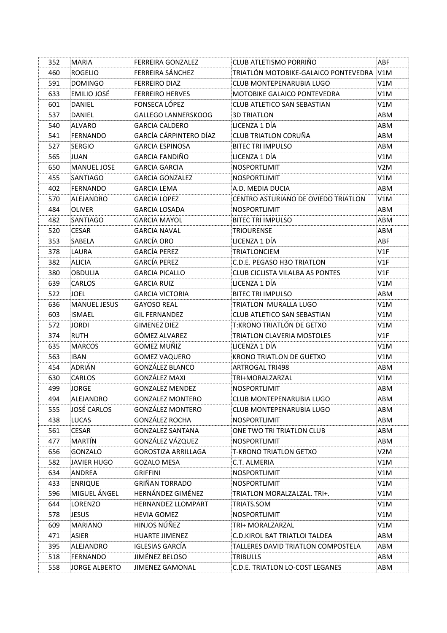| 352 | <b>MARIA</b>         | FERREIRA GONZALEZ          | CLUB ATLETISMO PORRIÑO                 | ABF  |
|-----|----------------------|----------------------------|----------------------------------------|------|
| 460 | <b>ROGELIO</b>       | FERREIRA SÁNCHEZ           | TRIATLÓN MOTOBIKE-GALAICO PONTEVEDRA   | V1M  |
| 591 | <b>DOMINGO</b>       | <b>FERREIRO DIAZ</b>       | CLUB MONTEPENARUBIA LUGO               | V1M  |
| 633 | EMILIO JOSÉ          | <b>FERREIRO HERVES</b>     | <b>MOTOBIKE GALAICO PONTEVEDRA</b>     | V1M  |
| 601 | <b>DANIEL</b>        | FONSECA LÓPEZ              | CLUB ATLETICO SAN SEBASTIAN            | V1M. |
| 537 | DANIEL               | <b>GALLEGO LANNERSKOOG</b> | <b>3D TRIATLON</b>                     | ABM  |
| 540 | ALVARO               | GARCIA CALDERO             | LICENZA 1 DÍA                          | ABM  |
| 541 | <b>FERNANDO</b>      | GARCÍA CÁRPINTERO DÍAZ     | <b>CLUB TRIATLON CORUÑA</b>            | ABM  |
| 527 | SERGIO               | <b>GARCIA ESPINOSA</b>     | <b>BITEC TRI IMPULSO</b>               | ABM  |
| 565 | JUAN                 | <b>GARCIA FANDIÑO</b>      | LICENZA 1 DÍA                          | V1M  |
| 650 | <b>MANUEL JOSE</b>   | GARCIA GARCIA              | NOSPORTLIMIT                           | V2M  |
| 455 | <b>SANTIAGO</b>      | <b>GARCIA GONZALEZ</b>     | <b>NOSPORTLIMIT</b>                    | V1M  |
| 402 | <b>FERNANDO</b>      | GARCIA LEMA                | A.D. MEDIA DUCIA                       | ABM  |
| 570 | ALEJANDRO            | <b>GARCIA LOPEZ</b>        | CENTRO ASTURIANO DE OVIEDO TRIATLON    | V1M  |
| 484 | OLIVER               | <b>GARCIA LOSADA</b>       | NOSPORTLIMIT                           | ABM  |
| 482 | SANTIAGO             | <b>GARCIA MAYOL</b>        | <b>BITEC TRI IMPULSO</b>               | ABM  |
| 520 | <b>CESAR</b>         | GARCIA NAVAL               | <b>TRIOURENSE</b>                      | ABM  |
| 353 | SABELA               | <b>GARCÍA ORO</b>          | LICENZA 1 DÍA                          | ABF  |
| 378 | LAURA                | <b>GARCÍA PEREZ</b>        | TRIATLONCIEM                           | V1F  |
| 382 | <b>ALICIA</b>        | <b>GARCÍA PEREZ</b>        | C.D.E. PEGASO H3O TRIATLON             | V1F  |
| 380 | <b>OBDULIA</b>       | <b>GARCIA PICALLO</b>      | <b>CLUB CICLISTA VILALBA AS PONTES</b> | V1F  |
| 639 | <b>CARLOS</b>        | GARCIA RUIZ                | LICENZA 1 DÍA                          | V1M  |
| 522 | <b>JOEL</b>          | GARCIA VICTORIA            | <b>BITEC TRI IMPULSO</b>               | ABM  |
| 636 | <b>MANUEL JESUS</b>  | <b>GAYOSO REAL</b>         | TRIATLON MURALLA LUGO                  | V1M  |
| 603 | <b>ISMAEL</b>        | GIL FERNANDEZ              | CLUB ATLETICO SAN SEBASTIAN            | V1M  |
| 572 | <b>JORDI</b>         | <b>GIMENEZ DIEZ</b>        | T:KRONO TRIATLÓN DE GETXO              | V1M  |
| 374 | <b>RUTH</b>          | GÓMEZ ALVAREZ              | TRIATLON CLAVERIA MOSTOLES             | V1F  |
| 635 | <b>MARCOS</b>        | GOMEZ MUÑIZ                | LICENZA 1 DÍA                          | V1M. |
| 563 | <b>IBAN</b>          | <b>GOMEZ VAQUERO</b>       | <b>KRONO TRIATLON DE GUETXO</b>        | V1M  |
| 454 | ADRIÁN               | GONZÁLEZ BLANCO            | <b>ARTROGAL TRI498</b>                 | ABM  |
| 630 | CARLOS               | GONZÁLEZ MAXI              | TRI+MORALZARZAL                        | V1M  |
| 499 | <b>JORGE</b>         | <b>GONZALEZ MENDEZ</b>     | <b>NOSPORTLIMIT</b>                    | ABM  |
| 494 | ALEJANDRO            | <b>GONZALEZ MONTERO</b>    | CLUB MONTEPENARUBIA LUGO               | ABM  |
| 555 | <b>JOSÉ CARLOS</b>   | GONZALEZ MONTERO           | CLUB MONTEPENARUBIA LUGO               | ABM  |
| 438 | <b>LUCAS</b>         | GONZÁLEZ ROCHA             | NOSPORTLIMIT                           | ABM  |
| 561 | <b>CESAR</b>         | <b>GONZALEZ SANTANA</b>    | ONE TWO TRI TRIATLON CLUB              | ABM  |
| 477 | MARTÍN               | GONZÁLEZ VÁZQUEZ           | NOSPORTLIMIT                           | ABM  |
| 656 | GONZALO              | <b>GOROSTIZA ARRILLAGA</b> | <b>T-KRONO TRIATLON GETXO</b>          | V2M  |
| 582 | JAVIER HUGO          | <b>GOZALO MESA</b>         | C.T. ALMERIA                           | V1M  |
| 634 | ANDREA               | GRIFFINI                   | NOSPORTLIMIT                           | V1M  |
| 433 | <b>ENRIQUE</b>       | GRIÑAN TORRADO             | <b>NOSPORTLIMIT</b>                    | V1M  |
| 596 | MIGUEL ÁNGEL         | HERNÁNDEZ GIMÉNEZ          | TRIATLON MORALZALZAL. TRI+.            | V1M  |
| 644 | LORENZO              | HERNANDEZ LLOMPART         | TRIATS.SOM                             | V1M  |
| 578 | <b>JESUS</b>         | <b>HEVIA GOMEZ</b>         | <b>NOSPORTLIMIT</b>                    | V1M  |
| 609 | <b>MARIANO</b>       | HINJOS NÚÑEZ               | TRI+ MORALZARZAL                       | V1M  |
| 471 | <b>ASIER</b>         | <b>HUARTE JIMENEZ</b>      | <b>C.D.KIROL BAT TRIATLOI TALDEA</b>   | ABM  |
| 395 | ALEJANDRO            | <b>IGLESIAS GARCÍA</b>     | TALLERES DAVID TRIATLON COMPOSTELA     | ABM  |
| 518 | FERNANDO             | JIMÉNEZ BELOSO             | TRIBULLS                               | ABM  |
| 558 | <b>JORGE ALBERTO</b> | <b>JIMENEZ GAMONAL</b>     | C.D.E. TRIATLON LO-COST LEGANES        | ABM  |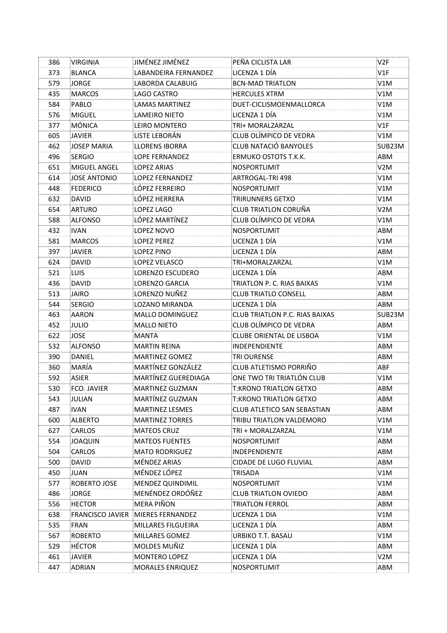| 386        | <b>VIRGINIA</b>                 | JIMÉNEZ JIMÉNEZ                       | PEÑA CICLISTA LAR                     | V2F    |
|------------|---------------------------------|---------------------------------------|---------------------------------------|--------|
| 373        | <b>BLANCA</b>                   | <b>LABANDEIRA FERNANDEZ</b>           | LICENZA 1 DÍA                         | V1F    |
| 579        | JORGE                           | LABORDA CALABUIG                      | <b>BCN-MAD TRIATLON</b>               | V1M    |
| 435        | <b>MARCOS</b>                   | LAGO CASTRO                           | <b>HERCULES XTRM</b>                  | V1M    |
| 584        | PABLO                           | <b>LAMAS MARTINEZ</b>                 | DUET-CICLISMOENMALLORCA               | V1M    |
| 576        | <b>MIGUEL</b>                   | LAMEIRO NIETO                         | LICENZA 1 DÍA                         | V1M    |
| 377        | MÓNICA                          | LEIRO MONTERO                         | TRI+ MORALZARZAL                      | V1F    |
| 605        | <b>JAVIER</b>                   | LISTE LEBORÁN                         | CLUB OLÍMPICO DE VEDRA                | V1M    |
| 462        | JOSEP MARIA                     | <b>LLORENS IBORRA</b>                 | <b>CLUB NATACIÓ BANYOLES</b>          | SUB23M |
| 496        | <b>SERGIO</b>                   | LOPE FERNANDEZ                        | <b>ERMUKO OSTOTS T.K.K.</b>           | ABM    |
| 651        | MIGUEL ANGEL                    | <b>LOPEZ ARIAS</b>                    | <b>NOSPORTLIMIT</b>                   | V2M    |
| 614        | JOSE ANTONIO                    | <b>LOPEZ FERNANDEZ</b>                | ARTROGAL-TRI 498                      | V1M    |
| 448        | <b>FEDERICO</b>                 | LÓPEZ FERREIRO                        | NOSPORTLIMIT                          | V1M    |
| 632        | <b>DAVID</b>                    | LÓPEZ HERRERA                         | TRIRUNNERS GETXO                      | V1M    |
| 654        | ARTURO                          | LOPEZ LAGO                            | <b>CLUB TRIATLON CORUÑA</b>           | V2M    |
| 588        | <b>ALFONSO</b>                  | LÓPEZ MARTÍNEZ                        | CLUB OLÍMPICO DE VEDRA                | V1M    |
| 432        | <b>IVAN</b>                     | LOPEZ NOVO                            | <b>NOSPORTLIMIT</b>                   | ABM    |
| 581        | <b>MARCOS</b>                   | <b>LOPEZ PEREZ</b>                    | LICENZA 1 DÍA                         | V1M    |
| 397        | <b>JAVIER</b>                   | LOPEZ PINO                            | LICENZA 1 DÍA                         | ABM    |
| 624        | <b>DAVID</b>                    | LOPEZ VELASCO                         | TRI+MORALZARZAL                       | V1M    |
| 521        | LUIS                            | LORENZO ESCUDERO                      | LICENZA 1 DÍA                         | ABM    |
| 436        | <b>DAVID</b>                    | LORENZO GARCIA                        | TRIATLON P. C. RIAS BAIXAS            | V1M    |
| 513        | <b>JAIRO</b>                    | LORENZO NUÑEZ                         | <b>CLUB TRIATLO CONSELL</b>           | ABM    |
| 544        | <b>SERGIO</b>                   | LOZANO MIRANDA                        | LICENZA 1 DÍA                         | ABM    |
| 463        | <b>AARON</b>                    | MALLO DOMINGUEZ                       | <b>CLUB TRIATLON P.C. RIAS BAIXAS</b> | SUB23M |
| 452        | JULIO                           | <b>MALLO NIETO</b>                    | CLUB OLÍMPICO DE VEDRA                | ABM    |
| 622        | JOSE                            | <b>MANTA</b>                          | <b>CLUBE ORIENTAL DE LISBOA</b>       | V1M    |
| 532        | <b>ALFONSO</b>                  | MARTIN REINA                          | <b>INDEPENDIENTE</b>                  | ABM    |
| 390        | DANIEL                          | <b>MARTINEZ GOMEZ</b>                 | <b>TRI OURENSE</b>                    | ABM    |
| 360        | MARÍA                           | <b>MARTÍNEZ GONZÁLEZ</b>              | CLUB ATLETISMO PORRIÑO                | ABF    |
| 592        | ASIER                           | MARTÍNEZ GUEREDIAGA                   | ONE TWO TRI TRIATLÓN CLUB             | V1M    |
| 530        | <b>FCO. JAVIER</b>              | <b>MARTINEZ GUZMAN</b>                | <b>T:KRONO TRIATLON GETXO</b>         | ABM    |
| 543        | JULIAN                          | MARTÍNEZ GUZMAN                       | <b>T:KRONO TRIATLON GETXO</b>         | ABM    |
| 487        | IVAN                            | MARTINEZ LESMES                       | CLUB ATLETICO SAN SEBASTIAN           | ABM    |
| 600        | <b>ALBERTO</b>                  | <b>MARTINEZ TORRES</b>                | TRIBU TRIATLON VALDEMORO              | V1M    |
| 627        | CARLOS                          | <b>MATEOS CRUZ</b>                    | TRI + MORALZARZAL                     | V1M    |
| 554        | <b>JOAQUIN</b>                  | <b>MATEOS FUENTES</b>                 | NOSPORTLIMIT                          | ABM    |
| 504        | CARLOS                          | <b>MATO RODRIGUEZ</b>                 | <b>INDEPENDIENTE</b>                  | ABM    |
| 500        | DAVID                           | MÉNDEZ ARIAS                          | CIDADE DE LUGO FLUVIAL                | ABM    |
| 450        | JUAN                            | MÉNDEZ LÓPEZ                          | TRISADA                               | V1M    |
| 577        | ROBERTO JOSE                    | MENDEZ QUINDIMIL                      | NOSPORTLIMIT                          | V1M    |
| 486        | <b>JORGE</b>                    | MENÉNDEZ ORDÓÑEZ                      | CLUB TRIATLON OVIEDO                  | ABM    |
| 556        | <b>HECTOR</b>                   | MERA PIÑON                            | TRIATLON FERROL                       | ABM    |
| 638        | <b>FRANCISCO JAVIER</b>         | <b>MIERES FERNANDEZ</b>               | LICENZA 1 DIA                         | V1M    |
| 535        | <b>FRAN</b>                     | MILLARES FILGUEIRA                    | LICENZA 1 DÍA                         | ABM    |
| 567        | <b>ROBERTO</b><br><b>HÉCTOR</b> | <b>MILLARES GOMEZ</b><br>MOLDES MUÑIZ | URBIKO T.T. BASAU<br>LICENZA 1 DÍA    | V1M    |
| 529        |                                 |                                       |                                       | ABM    |
| 461<br>447 | <b>JAVIER</b>                   | MONTERO LOPEZ                         | LICENZA 1 DÍA                         | V2M    |
|            | ADRIAN                          | <b>MORALES ENRIQUEZ</b>               | NOSPORTLIMIT                          | ABM    |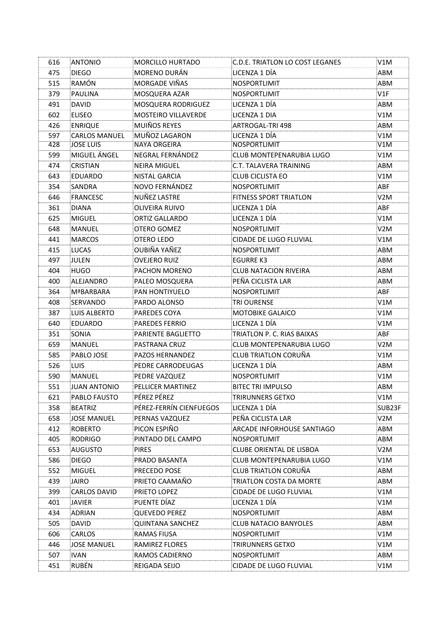| 616 | <b>ANTONIO</b>       | <b>MORCILLO HURTADO</b>   | C.D.E. TRIATLON LO COST LEGANES | V1M              |
|-----|----------------------|---------------------------|---------------------------------|------------------|
| 475 | <b>DIEGO</b>         | MORENO DURÁN              | LICENZA 1 DÍA                   | ABM              |
| 515 | RAMÓN                | MORGADE VIÑAS             | <b>NOSPORTLIMIT</b>             | ABM              |
| 379 | <b>PAULINA</b>       | MOSQUERA AZAR             | NOSPORTLIMIT                    | V1F              |
| 491 | <b>DAVID</b>         | <b>MOSQUERA RODRIGUEZ</b> | LICENZA 1 DÍA                   | ABM              |
| 602 | <b>ELISEO</b>        | MOSTEIRO VILLAVERDE       | LICENZA 1 DIA                   | V1M              |
| 426 | <b>ENRIQUE</b>       | <b>MUIÑOS REYES</b>       | ARTROGAL-TRI 498                | ABM              |
| 597 | <b>CARLOS MANUEL</b> | MUÑOZ LAGARON             | LICENZA 1 DÍA                   | V1M              |
| 428 | <b>JOSE LUIS</b>     | <b>NAYA ORGEIRA</b>       | <b>NOSPORTLIMIT</b>             | V1M              |
| 599 | MIGUEL ÁNGEL         | NEGRAL FERNÁNDEZ          | CLUB MONTEPENARUBIA LUGO        | V1M              |
| 474 | CRISTIAN             | NEIRA MIGUEL              | C.T. TALAVERA TRAINING          | ABM              |
| 643 | <b>EDUARDO</b>       | <b>NISTAL GARCIA</b>      | <b>CLUB CICLISTA EO</b>         | V1M              |
| 354 | SANDRA               | NOVO FERNÁNDEZ            | <b>NOSPORTLIMIT</b>             | <b>ABF</b>       |
| 646 | <b>FRANCESC</b>      | NUÑEZ LASTRE              | FITNESS SPORT TRIATLON          | V <sub>2</sub> M |
| 361 | <b>DIANA</b>         | OLIVEIRA RUIVO            | LICENZA 1 DÍA                   | ABF              |
| 625 | <b>MIGUEL</b>        | <b>ORTIZ GALLARDO</b>     | LICENZA 1 DÍA                   | V1M              |
| 648 | MANUEL               | OTERO GOMEZ               | NOSPORTLIMIT                    | V <sub>2</sub> M |
| 441 | <b>MARCOS</b>        | OTERO LEDO                | CIDADE DE LUGO FLUVIAL          | V1M              |
| 415 | <b>LUCAS</b>         | OUBIÑA YAÑEZ              | <b>NOSPORTLIMIT</b>             | ABM              |
| 497 | JULEN                | OVEJERO RUIZ              | EGURRE K3                       | ABM              |
| 404 | <b>HUGO</b>          | PACHON MORENO             | <b>CLUB NATACION RIVEIRA</b>    | ABM              |
| 400 | ALEJANDRO            | PALEO MOSQUERA            | PEÑA CICLISTA LAR               | ABM              |
| 364 | <b>MªBARBARA</b>     | PAN HONTIYUELO            | NOSPORTLIMIT                    | ABF              |
| 408 | SERVANDO             | PARDO ALONSO              | TRI OURENSE                     | V1M              |
| 387 | LUIS ALBERTO         | PAREDES COYA              | <b>MOTOBIKE GALAICO</b>         | V1M              |
| 640 | EDUARDO              | PAREDES FERRIO            | LICENZA 1 DÍA                   | V1M              |
| 351 | SONIA                | PARIENTE BAGLIETTO        | TRIATLON P. C. RIAS BAIXAS      | ABF              |
| 659 | MANUEL               | PASTRANA CRUZ             | <b>CLUB MONTEPENARUBIA LUGO</b> | V2M              |
| 585 | PABLO JOSE           | PAZOS HERNANDEZ           | <b>CLUB TRIATLON CORUÑA</b>     | V1M              |
| 526 | <b>LUIS</b>          | PEDRE CARRODEUGAS         | LICENZA 1 DÍA                   | ABM              |
| 590 | <b>MANUEL</b>        | PEDRE VAZQUEZ             | NOSPORTLIMIT                    | V1M              |
| 551 | <b>JUAN ANTONIO</b>  | PELLICER MARTINEZ         | <b>BITEC TRI IMPULSO</b>        | ABM              |
| 621 | PABLO FAUSTO         | PÉREZ PÉREZ               | TRIRUNNERS GETXO                | V1M              |
| 358 | <b>BEATRIZ</b>       | PÉREZ-FERRÍN CIENFUEGOS   | LICENZA 1 DÍA                   | SUB23F           |
| 658 | <b>JOSE MANUEL</b>   | PERNAS VAZQUEZ            | PEÑA CICLISTA LAR               | V2M              |
| 412 | <b>ROBERTO</b>       | PICON ESPIÑO              | ARCADE INFORHOUSE SANTIAGO      | ABM              |
| 405 | RODRIGO              | PINTADO DEL CAMPO         | NOSPORTLIMIT                    | ABM              |
| 653 | AUGUSTO              | PIRES                     | <b>CLUBE ORIENTAL DE LISBOA</b> | V2M              |
| 586 | <b>DIEGO</b>         | PRADO BASANTA             | <b>CLUB MONTEPENARUBIA LUGO</b> | V1M              |
| 552 | MIGUEL               | PRECEDO POSE              | <b>CLUB TRIATLON CORUÑA</b>     | ABM              |
| 439 | JAIRO                | PRIETO CAAMAÑO            | TRIATLON COSTA DA MORTE         | ABM              |
| 399 | <b>CARLOS DAVID</b>  | PRIETO LOPEZ              | CIDADE DE LUGO FLUVIAL          | V1M              |
| 401 | JAVIER               | PUENTE DÍAZ               | LICENZA 1 DÍA                   | V1M              |
| 434 | ADRIAN               | QUEVEDO PEREZ             | NOSPORTLIMIT                    | ABM              |
| 505 | <b>DAVID</b>         | QUINTANA SANCHEZ          | <b>CLUB NATACIO BANYOLES</b>    | ABM              |
| 606 | CARLOS               | RAMAS FIUSA               | NOSPORTLIMIT                    | V1M              |
| 446 | JOSE MANUEL          | RAMIREZ FLORES            | TRIRUNNERS GETXO                | V1M              |
| 507 | IVAN                 | RAMOS CADIERNO            | NOSPORTLIMIT                    | ABM              |
| 451 | <b>RUBÉN</b>         | REIGADA SEIJO             | <b>CIDADE DE LUGO FLUVIAL</b>   | V1M              |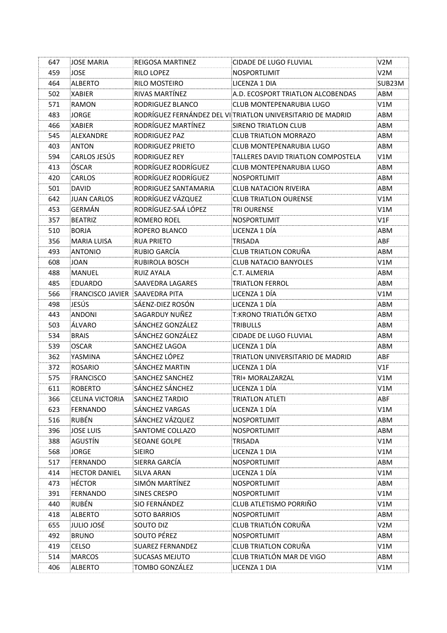| 647 | JOSE MARIA                     | <b>REIGOSA MARTINEZ</b> | CIDADE DE LUGO FLUVIAL                                     | V <sub>2</sub> M |
|-----|--------------------------------|-------------------------|------------------------------------------------------------|------------------|
| 459 | <b>JOSE</b>                    | RILO LOPEZ              | NOSPORTLIMIT                                               | V2M              |
| 464 | ALBERTO                        | RILO MOSTEIRO           | LICENZA 1 DIA                                              | SUB23M           |
| 502 | <b>XABIER</b>                  | RIVAS MARTÍNEZ          | A.D. ECOSPORT TRIATLON ALCOBENDAS                          | ABM              |
| 571 | RAMON                          | RODRIGUEZ BLANCO        | <b>CLUB MONTEPENARUBIA LUGO</b>                            | V1M              |
| 483 | JORGE                          |                         | RODRÍGUEZ FERNÁNDEZ DEL VITRIATLON UNIVERSITARIO DE MADRID | ABM              |
| 466 | <b>XABIER</b>                  | RODRÍGUEZ MARTÍNEZ      | SIRENO TRIATLON CLUB                                       | ABM              |
| 545 | <b>ALEXANDRE</b>               | RODRIGUEZ PAZ           | <b>CLUB TRIATLON MORRAZO</b>                               | ABM              |
| 403 | ANTON                          | RODRIGUEZ PRIETO        | <b>CLUB MONTEPENARUBIA LUGO</b>                            | ABM              |
| 594 | <b>CARLOS JESÚS</b>            | RODRIGUEZ REY           | TALLERES DAVID TRIATLON COMPOSTELA                         | V1M              |
| 413 | ÓSCAR                          | RODRÍGUEZ RODRÍGUEZ     | <b>CLUB MONTEPENARUBIA LUGO</b>                            | ABM              |
| 420 | CARLOS                         | RODRÍGUEZ RODRÍGUEZ     | <b>NOSPORTLIMIT</b>                                        | ABM              |
| 501 | <b>DAVID</b>                   | RODRIGUEZ SANTAMARIA    | <b>CLUB NATACION RIVEIRA</b>                               | ABM              |
| 642 | JUAN CARLOS                    | RODRÍGUEZ VÁZQUEZ       | <b>CLUB TRIATLON OURENSE</b>                               | V1M              |
| 453 | GERMÁN                         | RODRÍGUEZ-SAÁ LÓPEZ     | TRI OURENSE                                                | V1M              |
| 357 | <b>BEATRIZ</b>                 | ROMERO ROEL             | <b>NOSPORTLIMIT</b>                                        | V1F              |
| 510 | <b>BORJA</b>                   | ROPERO BLANCO           | LICENZA 1 DÍA                                              | ABM              |
| 356 | <b>MARIA LUISA</b>             | <b>RUA PRIETO</b>       | <b>TRISADA</b>                                             | ABF              |
| 493 | <b>ANTONIO</b>                 | RUBIO GARCÍA            | CLUB TRIATLON CORUÑA                                       | ABM              |
| 608 | <b>JOAN</b>                    | RUBIROLA BOSCH          | <b>CLUB NATACIO BANYOLES</b>                               | V1M              |
| 488 | <b>MANUEL</b>                  | <b>RUIZ AYALA</b>       | C.T. ALMERIA                                               | ABM              |
| 485 | <b>EDUARDO</b>                 | SAAVEDRA LAGARES        | TRIATLON FERROL                                            | ABM              |
| 566 | FRANCISCO JAVIER SAAVEDRA PITA |                         | LICENZA 1 DÍA                                              | V1M              |
| 498 | JESÚS                          | SÁENZ-DIEZ ROSÓN        | LICENZA 1 DÍA                                              | ABM              |
| 443 | <b>ANDONI</b>                  | SAGARDUY NUÑEZ          | T:KRONO TRIATLÓN GETXO                                     | ABM              |
| 503 | ÁLVARO                         | SÁNCHEZ GONZÁLEZ        | <b>TRIBULLS</b>                                            | ABM              |
| 534 | <b>BRAIS</b>                   | SÁNCHEZ GONZÁLEZ        | CIDADE DE LUGO FLUVIAL                                     | ABM              |
| 539 | <b>OSCAR</b>                   | SANCHEZ LAGOA           | LICENZA 1 DÍA                                              | ABM              |
| 362 | YASMINA                        | SÁNCHEZ LÓPEZ           | TRIATLON UNIVERSITARIO DE MADRID                           | ABF              |
| 372 | <b>ROSARIO</b>                 | SÁNCHEZ MARTIN          | LICENZA 1 DÍA                                              | V1F              |
| 575 | <b>FRANCISCO</b>               | SANCHEZ SANCHEZ         | TRI+ MORALZARZAL                                           | V1M              |
| 611 | <b>ROBERTO</b>                 | SÁNCHEZ SÁNCHEZ         | LICENZA 1 DÍA                                              | V1M              |
| 366 | <b>CELINA VICTORIA</b>         | <b>SANCHEZ TARDIO</b>   | <b>TRIATLON ATLETI</b>                                     | ABF              |
| 623 | <b>FERNANDO</b>                | SANCHEZ VARGAS          | LICENZA 1 DÍA                                              | V1M              |
| 516 | <b>RUBÉN</b>                   | SÁNCHEZ VÁZQUEZ         | <b>NOSPORTLIMIT</b>                                        | ABM              |
| 396 | <b>JOSE LUIS</b>               | SANTOME COLLAZO         | <b>NOSPORTLIMIT</b>                                        | ABM              |
| 388 | AGUSTÍN                        | <b>SEOANE GOLPE</b>     | TRISADA                                                    | V1M              |
| 568 | <b>JORGE</b>                   | <b>SIEIRO</b>           | LICENZA 1 DIA                                              | V1M              |
| 517 | <b>FERNANDO</b>                | SIERRA GARCÍA           | <b>NOSPORTLIMIT</b>                                        | ABM              |
| 414 | <b>HECTOR DANIEL</b>           | SILVA ARAN              | LICENZA 1 DÍA                                              | V1M              |
| 473 | <b>HÉCTOR</b>                  | SIMÓN MARTÍNEZ          | NOSPORTLIMIT                                               | ABM              |
| 391 | FERNANDO                       | <b>SINES CRESPO</b>     | NOSPORTLIMIT                                               | V1M              |
| 440 | <b>RUBÉN</b>                   | SIO FERNÁNDEZ           | CLUB ATLETISMO PORRIÑO                                     | V1M              |
| 418 | <b>ALBERTO</b>                 | <b>SOTO BARRIOS</b>     | <b>NOSPORTLIMIT</b>                                        | ABM              |
| 655 | JULIO JOSÉ                     | SOUTO DIZ               | CLUB TRIATLÓN CORUÑA                                       | V2M              |
| 492 | <b>BRUNO</b>                   | SOUTO PÉREZ             | NOSPORTLIMIT                                               | ABM              |
| 419 | <b>CELSO</b>                   | <b>SUAREZ FERNANDEZ</b> | <b>CLUB TRIATLON CORUÑA</b>                                | V1M              |
| 514 | <b>MARCOS</b>                  | <b>SUCASAS MEJUTO</b>   | CLUB TRIATLÓN MAR DE VIGO                                  | ABM              |
| 406 | <b>ALBERTO</b>                 | TOMBO GONZÁLEZ          | LICENZA 1 DIA                                              | V1M              |